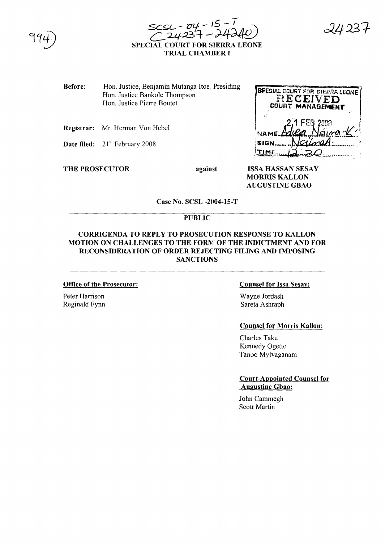



2423 1

Before: Hon. Justice, Benjamin Mutanga Itoe, Presiding Hon. Justice Bankole Thompson Hon. Justice Pierre Boutet

Registrar: Mr. Herman Von Hebel

Date filed:  $21<sup>st</sup>$  February 2008

THE PROSECUTOR against

**BPECIAL COURT FOR SIERRA LEONE** RECEIVED **AGEMENT** NAMË **SIGN** TIME

**ISSA HASSAN SESAY MORRIS KALLON AUGUSTINE GBAO** 

Case No. SCSL -2004-15-T

# PUBLIC

# CORRIGENDA TO REPLY TO PROSECUTION RESPONSE TO KALLON MOTION ON CHALLENGES TO THE FORM OF THE INDICTMENT AND FOR RECONSIDERATION OF ORDER REJEC TING FILING AND IMPOSING **SANCTIONS**

#### Office of the Prosecutor:

Peter Harrison Reginald Fynn

### Counsel for Issa Sesay:

Wayne Jordash Sareta Ashraph

#### Counsel for Morris KaIlon:

Charles Taku Kennedy Ogetto Tanoo Mylvaganam

Court-Appointed Counsel for Augustine Gbao:

John Cammegh Scott Martin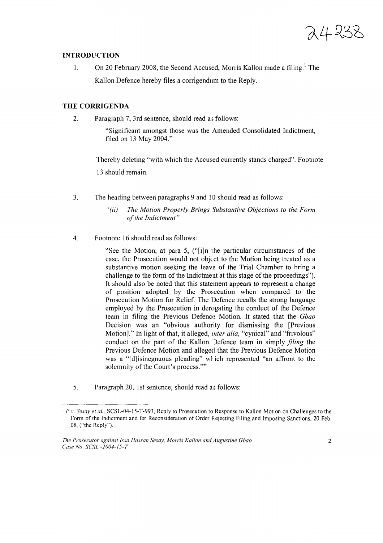24238

### **INTRODUCTION**

1. On 20 February 2008, the Second Accused, Morris Kallon made a filing.<sup>1</sup> The Kallon Defence hereby files a corrigendum to the Reply.

## **THE CORRIGENDA**

2. Paragraph 7, 3rd sentence, should read as follows:

"Significant amongst those was the Amended Consolidated Indictment, filed on 13 May 2004."

Thereby deleting "with which the Accused currently stands charged". Footnote 13 should remain.

3. The heading between paragraphs 9 and 10 should read as follows:

4. Footnote 16 should read as follows:

"See the Motion, at para 5, ("[i]n the particular circumstances of the case, the Prosecution would not object to the Motion being treated as a substantive motion seeking the leave of the Trial Chamber to bring a challenge to the form of the Indictment at this stage of the proceedings"). It should also be noted that this statement appears to represent a change of position adopted by the Prosecution when compared to the Prosecution Motion for Relief. The Defence recalls the strong language employed by the Prosecution in derogating the conduct of the Defence team in filing the Previous Defence Motion. It stated that the *Gbao* Decision was an "obvious authority for dismissing the [Previous Motion]." In light of that, it alleged, *mter alia,* "cynical" and "frivolous" conduct on the part of the Kallon Defence team in simply *filing* the Previous Defence Motion and alleged that the Previous Defence Motion was a "[d]isinegnuous pleading" wlich represented "an affront to the solemnity of the Court's process.""

5. Paragraph 20, 1st sentence, should read as follows:

*<sup>&</sup>quot;(ii) The Motion Properly Brings Substantive Objections to the Form*  $of$  *the Indictment*"

<sup>I</sup> *P v. Sesay et at..* SCSL-04-15-T-993, Reply to Prosecution to Response to Kallon Motion on Challenges to the Form of the Indictment and for Reconsideration of Order F.ejecting Filing and Imposing Sanctions, 20 Feb. 08, ("the Reply").

*The Prosecutor against [ssa Hassan Sesay, Morris Kallon and Augustine Gbao Case No. SCSL -2004-*[ 5- *T*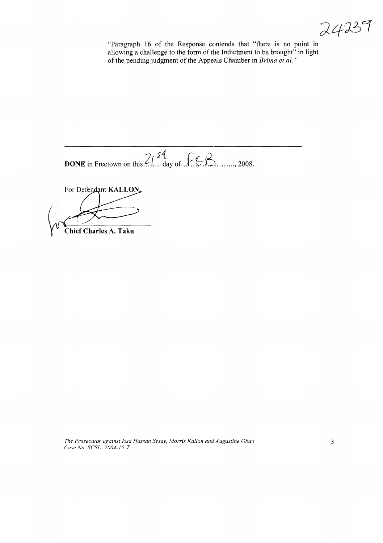24239

"Paragraph 16 of the Response contends that "there is no point in allowing a challenge to the form of the Indictment to be brought" in light of the pending judgment of the Appeals Chamber in *Brima et al.*"

 $2i^{st}$   $\int \mathcal{L} \mathcal{L}$ **DONE** in Freetown on this... .1.. .. day of..*Y.*f:-:LL ......,2008.

For Defendant KALLON

 $\left( \begin{array}{c} \end{array} \right)$ 

**Chief Charles A. Taku**

*The Prosecutor against Issa Hassan Sesay, Morris Kallon and Augustine Gbao Case No. SCSL -2004-15-T*